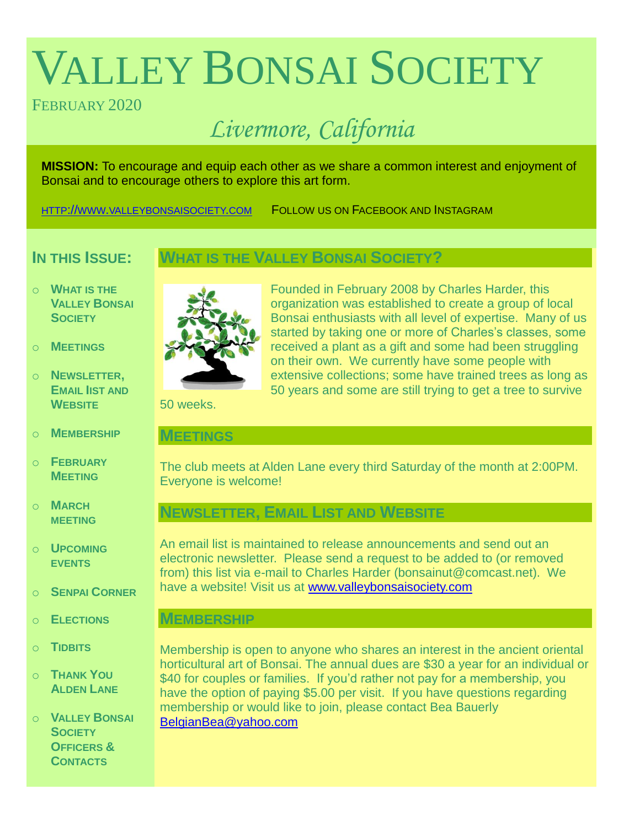# VALLEY BONSAI SOCIETY

# FEBRUARY 2020

# *Livermore, California*

**MISSION:** To encourage and equip each other as we share a common interest and enjoyment of Bonsai and to encourage others to explore this art form.

HTTP://WWW.[VALLEYBONSAISOCIETY](http://www.valleybonsaisociety.com/).COM FOLLOW US ON FACEBOOK AND INSTAGRAM

# **IN THIS ISSUE:**

- **WHAT IS THE VALLEY BONSAI SOCIETY?**
- o **WHAT IS THE VALLEY BONSAI SOCIETY**
- o **MEETINGS**
- o **NEWSLETTER, EMAIL IIST AND WEBSITE**
- o **MEMBERSHIP**
- o **FEBRUARY MEETING**
- o **MARCH MEETING**
- o **UPCOMING EVENTS**
- o **SENPAI CORNER**
- o **ELECTIONS**
- o **TIDBITS**
- o **THANK YOU ALDEN LANE**
- o **VALLEY BONSAI SOCIETY OFFICERS & CONTACTS**



Founded in February 2008 by Charles Harder, this organization was established to create a group of local Bonsai enthusiasts with all level of expertise. Many of us started by taking one or more of Charles's classes, some received a plant as a gift and some had been struggling on their own. We currently have some people with extensive collections; some have trained trees as long as 50 years and some are still trying to get a tree to survive

50 weeks.

# **MEETINGS**

The club meets at Alden Lane every third Saturday of the month at 2:00PM. Everyone is welcome!

# **NEWSLETTER, EMAIL LIST AND WEBSITE**

An email list is maintained to release announcements and send out an electronic newsletter. Please send a request to be added to (or removed from) this list via e-mail to Charles Harder (bonsainut@comcast.net). We have a website! Visit us at [www.valleybonsaisociety.com](http://www.valleybonsaisociety.com/)

# **MEMBERSHIP**

Membership is open to anyone who shares an interest in the ancient oriental horticultural art of Bonsai. The annual dues are \$30 a year for an individual or \$40 for couples or families. If you'd rather not pay for a membership, you have the option of paying \$5.00 per visit. If you have questions regarding membership or would like to join, please contact Bea Bauerly [BelgianBea@yahoo.com](mailto:BelgianBea@yahoo.com)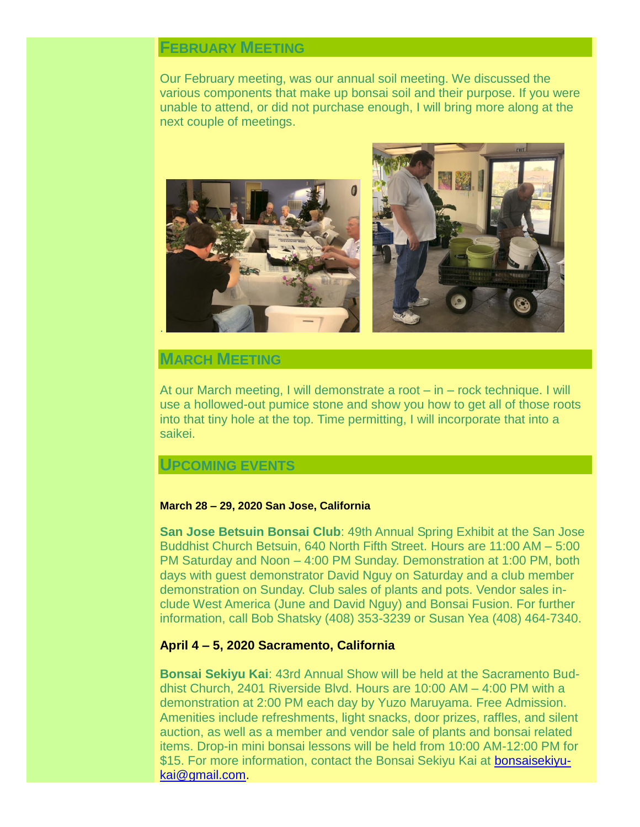# **FEBRUARY MEETING**

Our February meeting, was our annual soil meeting. We discussed the various components that make up bonsai soil and their purpose. If you were unable to attend, or did not purchase enough, I will bring more along at the next couple of meetings.



# **MARCH MEETING**

At our March meeting, I will demonstrate a root – in – rock technique. I will use a hollowed-out pumice stone and show you how to get all of those roots into that tiny hole at the top. Time permitting, I will incorporate that into a saikei.

# **UPCOMING EVENTS**

#### **March 28 – 29, 2020 San Jose, California**

**San Jose Betsuin Bonsai Club**: 49th Annual Spring Exhibit at the San Jose Buddhist Church Betsuin, 640 North Fifth Street. Hours are 11:00 AM – 5:00 PM Saturday and Noon – 4:00 PM Sunday. Demonstration at 1:00 PM, both days with guest demonstrator David Nguy on Saturday and a club member demonstration on Sunday. Club sales of plants and pots. Vendor sales include West America (June and David Nguy) and Bonsai Fusion. For further information, call Bob Shatsky (408) 353-3239 or Susan Yea (408) 464-7340.

#### **April 4 – 5, 2020 Sacramento, California**

**Bonsai Sekiyu Kai**: 43rd Annual Show will be held at the Sacramento Buddhist Church, 2401 Riverside Blvd. Hours are 10:00 AM – 4:00 PM with a demonstration at 2:00 PM each day by Yuzo Maruyama. Free Admission. Amenities include refreshments, light snacks, door prizes, raffles, and silent auction, as well as a member and vendor sale of plants and bonsai related items. Drop-in mini bonsai lessons will be held from 10:00 AM-12:00 PM for \$15. For more information, contact the Bonsai Sekiyu Kai at [bonsaisekiyu](mailto:bonsaisekiyukai@gmail.com)[kai@gmail.com.](mailto:bonsaisekiyukai@gmail.com)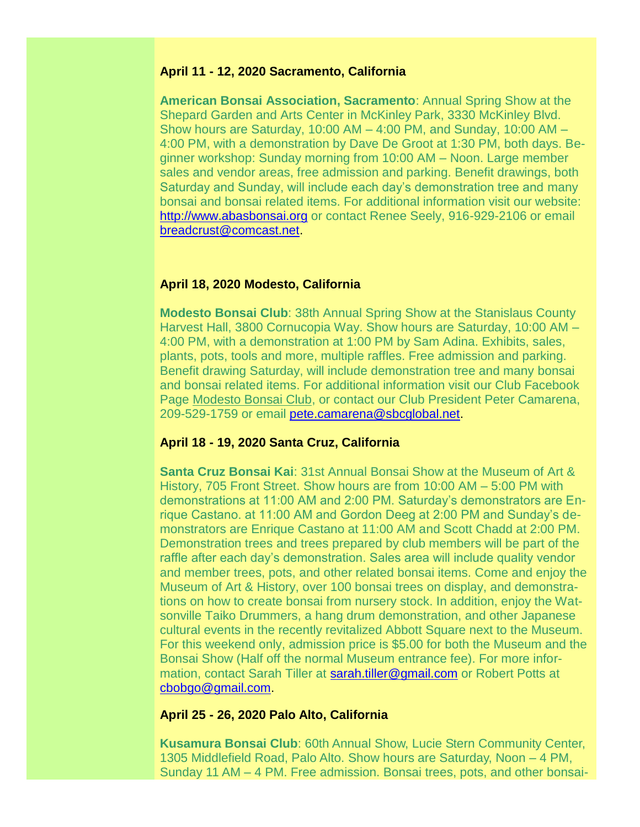#### **April 11 - 12, 2020 Sacramento, California**

**American Bonsai Association, Sacramento**: Annual Spring Show at the Shepard Garden and Arts Center in McKinley Park, 3330 McKinley Blvd. Show hours are Saturday,  $10:00$  AM  $-$  4:00 PM, and Sunday,  $10:00$  AM  $-$ 4:00 PM, with a demonstration by Dave De Groot at 1:30 PM, both days. Beginner workshop: Sunday morning from 10:00 AM – Noon. Large member sales and vendor areas, free admission and parking. Benefit drawings, both Saturday and Sunday, will include each day's demonstration tree and many bonsai and bonsai related items. For additional information visit our website: [http://www.abasbonsai.org](http://www.abasbonsai.org/) or contact Renee Seely, 916-929-2106 or email [breadcrust@comcast.net.](mailto:breadcrust@comcast.net)

#### **April 18, 2020 Modesto, California**

**Modesto Bonsai Club**: 38th Annual Spring Show at the Stanislaus County Harvest Hall, 3800 Cornucopia Way. Show hours are Saturday, 10:00 AM – 4:00 PM, with a demonstration at 1:00 PM by Sam Adina. Exhibits, sales, plants, pots, tools and more, multiple raffles. Free admission and parking. Benefit drawing Saturday, will include demonstration tree and many bonsai and bonsai related items. For additional information visit our Club Facebook Page [Modesto Bonsai Club,](https://www.facebook.com/Modesto-Bonsai-Club-421910751256491/) or contact our Club President Peter Camarena, 209-529-1759 or email [pete.camarena@sbcglobal.net.](mailto:pete.camarena@sbcglobal.net)

#### **April 18 - 19, 2020 Santa Cruz, California**

**Santa Cruz Bonsai Kai**: 31st Annual Bonsai Show at the Museum of Art & History, 705 Front Street. Show hours are from 10:00 AM – 5:00 PM with demonstrations at 11:00 AM and 2:00 PM. Saturday's demonstrators are Enrique Castano. at 11:00 AM and Gordon Deeg at 2:00 PM and Sunday's demonstrators are Enrique Castano at 11:00 AM and Scott Chadd at 2:00 PM. Demonstration trees and trees prepared by club members will be part of the raffle after each day's demonstration. Sales area will include quality vendor and member trees, pots, and other related bonsai items. Come and enjoy the Museum of Art & History, over 100 bonsai trees on display, and demonstrations on how to create bonsai from nursery stock. In addition, enjoy the Watsonville Taiko Drummers, a hang drum demonstration, and other Japanese cultural events in the recently revitalized Abbott Square next to the Museum. For this weekend only, admission price is \$5.00 for both the Museum and the Bonsai Show (Half off the normal Museum entrance fee). For more information, contact Sarah Tiller at [sarah.tiller@gmail.com](mailto:sarah.tiller@gmail.com) or Robert Potts at [cbobgo@gmail.com.](mailto:cbobgo@gmail.com)

#### **April 25 - 26, 2020 Palo Alto, California**

**Kusamura Bonsai Club**: 60th Annual Show, Lucie Stern Community Center, 1305 Middlefield Road, Palo Alto. Show hours are Saturday, Noon – 4 PM, Sunday 11 AM – 4 PM. Free admission. Bonsai trees, pots, and other bonsai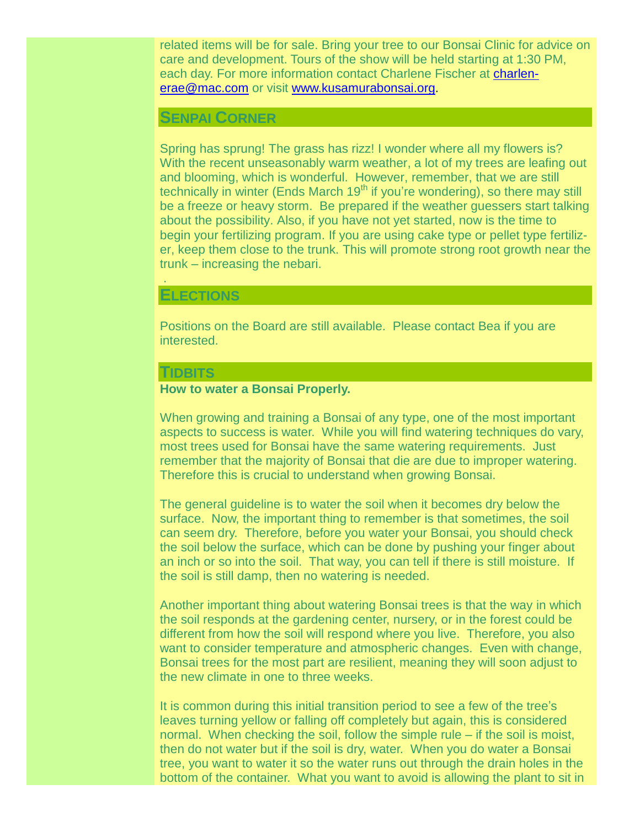related items will be for sale. Bring your tree to our Bonsai Clinic for advice on care and development. Tours of the show will be held starting at 1:30 PM, each day. For more information contact Charlene Fischer at [charlen](mailto:charlenerae@mac.com)[erae@mac.com](mailto:charlenerae@mac.com) or visit [www.kusamurabonsai.org.](http://www.kusamurabonsai.org/)

#### **SENPAI CORNER**

Spring has sprung! The grass has rizz! I wonder where all my flowers is? With the recent unseasonably warm weather, a lot of my trees are leafing out and blooming, which is wonderful. However, remember, that we are still technically in winter (Ends March 19<sup>th</sup> if you're wondering), so there may still be a freeze or heavy storm. Be prepared if the weather guessers start talking about the possibility. Also, if you have not yet started, now is the time to begin your fertilizing program. If you are using cake type or pellet type fertilizer, keep them close to the trunk. This will promote strong root growth near the trunk – increasing the nebari.

#### **ELECTIONS**

.

Positions on the Board are still available. Please contact Bea if you are interested.

#### **TIDBITS**

#### **How to water a Bonsai Properly.**

When growing and training a Bonsai of any type, one of the most important aspects to success is water. While you will find watering techniques do vary, most trees used for Bonsai have the same watering requirements. Just remember that the majority of Bonsai that die are due to improper watering. Therefore this is crucial to understand when growing Bonsai.

The general guideline is to water the soil when it becomes dry below the surface. Now, the important thing to remember is that sometimes, the soil can seem dry. Therefore, before you water your Bonsai, you should check the soil below the surface, which can be done by pushing your finger about an inch or so into the soil. That way, you can tell if there is still moisture. If the soil is still damp, then no watering is needed.

Another important thing about watering Bonsai trees is that the way in which the soil responds at the gardening center, nursery, or in the forest could be different from how the soil will respond where you live. Therefore, you also want to consider temperature and atmospheric changes. Even with change, Bonsai trees for the most part are resilient, meaning they will soon adjust to the new climate in one to three weeks.

It is common during this initial transition period to see a few of the tree's leaves turning yellow or falling off completely but again, this is considered normal. When checking the soil, follow the simple rule – if the soil is moist, then do not water but if the soil is dry, water. When you do water a Bonsai tree, you want to water it so the water runs out through the drain holes in the bottom of the container. What you want to avoid is allowing the plant to sit in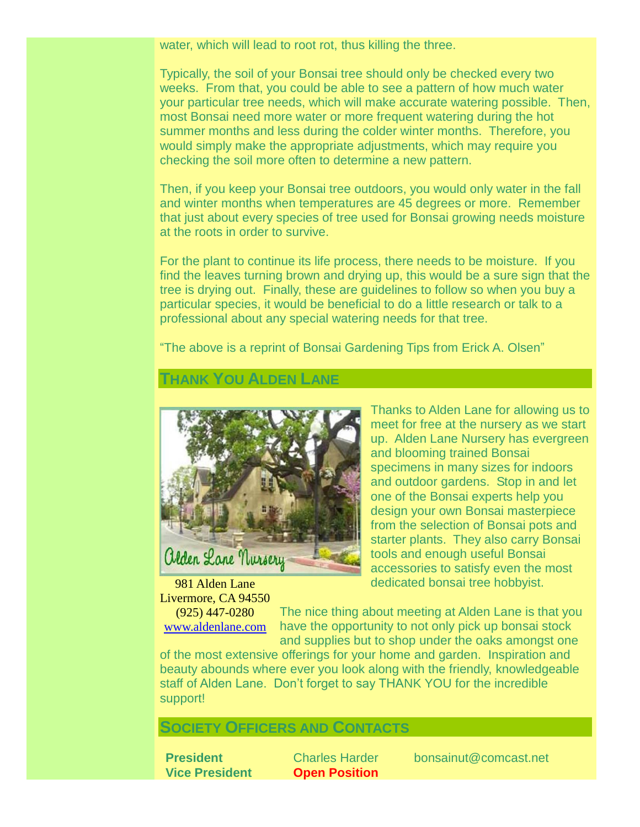water, which will lead to root rot, thus killing the three.

Typically, the soil of your Bonsai tree should only be checked every two weeks. From that, you could be able to see a pattern of how much water your particular tree needs, which will make accurate watering possible. Then, most Bonsai need more water or more frequent watering during the hot summer months and less during the colder winter months. Therefore, you would simply make the appropriate adjustments, which may require you checking the soil more often to determine a new pattern.

Then, if you keep your Bonsai tree outdoors, you would only water in the fall and winter months when temperatures are 45 degrees or more. Remember that just about every species of tree used for Bonsai growing needs moisture at the roots in order to survive.

For the plant to continue its life process, there needs to be moisture. If you find the leaves turning brown and drying up, this would be a sure sign that the tree is drying out. Finally, these are guidelines to follow so when you buy a particular species, it would be beneficial to do a little research or talk to a professional about any special watering needs for that tree.

"The above is a reprint of Bonsai Gardening Tips from Erick A. Olsen"

# **THANK YOU ALDEN LANE**



981 Alden Lane

Livermore, CA 94550 (925) 447-0280 [www.aldenlane.com](http://www.aldenlane.com/)

Thanks to Alden Lane for allowing us to meet for free at the nursery as we start up. Alden Lane Nursery has evergreen and blooming trained Bonsai specimens in many sizes for indoors and outdoor gardens. Stop in and let one of the Bonsai experts help you design your own Bonsai masterpiece from the selection of Bonsai pots and starter plants. They also carry Bonsai tools and enough useful Bonsai accessories to satisfy even the most dedicated bonsai tree hobbyist.

The nice thing about meeting at Alden Lane is that you have the opportunity to not only pick up bonsai stock and supplies but to shop under the oaks amongst one

of the most extensive offerings for your home and garden. Inspiration and beauty abounds where ever you look along with the friendly, knowledgeable staff of Alden Lane. Don't forget to say THANK YOU for the incredible support!

# **SOCIETY OFFICERS AND CONTACTS**

**Vice President Open Position**

**President** Charles Harder bonsainut@comcast.net